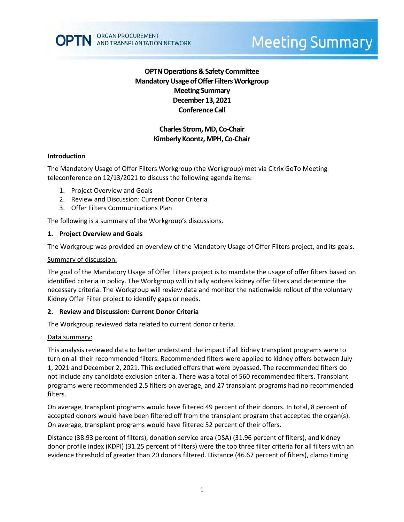

# **OPTN Operations & Safety Committee Mandatory Usage of Offer Filters Workgroup Meeting Summary December 13, 2021 Conference Call**

# **Charles Strom, MD, Co-Chair Kimberly Koontz, MPH, Co-Chair**

## **Introduction**

The Mandatory Usage of Offer Filters Workgroup (the Workgroup) met via Citrix GoTo Meeting teleconference on 12/13/2021 to discuss the following agenda items:

- 1. Project Overview and Goals
- 2. Review and Discussion: Current Donor Criteria
- 3. Offer Filters Communications Plan

The following is a summary of the Workgroup's discussions.

## **1. Project Overview and Goals**

The Workgroup was provided an overview of the Mandatory Usage of Offer Filters project, and its goals.

### Summary of discussion:

The goal of the Mandatory Usage of Offer Filters project is to mandate the usage of offer filters based on identified criteria in policy. The Workgroup will initially address kidney offer filters and determine the necessary criteria. The Workgroup will review data and monitor the nationwide rollout of the voluntary Kidney Offer Filter project to identify gaps or needs.

## **2. Review and Discussion: Current Donor Criteria**

The Workgroup reviewed data related to current donor criteria.

## Data summary:

This analysis reviewed data to better understand the impact if all kidney transplant programs were to turn on all their recommended filters. Recommended filters were applied to kidney offers between July 1, 2021 and December 2, 2021. This excluded offers that were bypassed. The recommended filters do not include any candidate exclusion criteria. There was a total of 560 recommended filters. Transplant programs were recommended 2.5 filters on average, and 27 transplant programs had no recommended filters.

On average, transplant programs would have filtered 49 percent of their donors. In total, 8 percent of accepted donors would have been filtered off from the transplant program that accepted the organ(s). On average, transplant programs would have filtered 52 percent of their offers.

Distance (38.93 percent of filters), donation service area (DSA) (31.96 percent of filters), and kidney donor profile index (KDPI) (31.25 percent of filters) were the top three filter criteria for all filters with an evidence threshold of greater than 20 donors filtered. Distance (46.67 percent of filters), clamp timing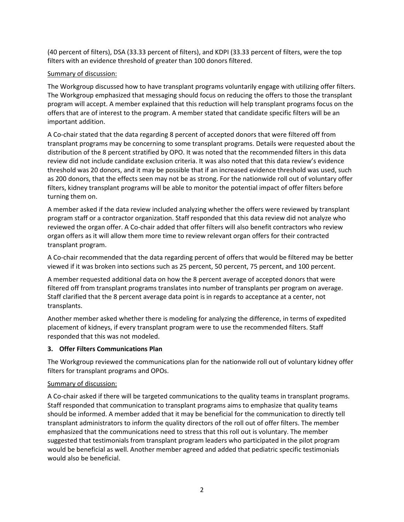(40 percent of filters), DSA (33.33 percent of filters), and KDPI (33.33 percent of filters, were the top filters with an evidence threshold of greater than 100 donors filtered.

## Summary of discussion:

The Workgroup discussed how to have transplant programs voluntarily engage with utilizing offer filters. The Workgroup emphasized that messaging should focus on reducing the offers to those the transplant program will accept. A member explained that this reduction will help transplant programs focus on the offers that are of interest to the program. A member stated that candidate specific filters will be an important addition.

A Co-chair stated that the data regarding 8 percent of accepted donors that were filtered off from transplant programs may be concerning to some transplant programs. Details were requested about the distribution of the 8 percent stratified by OPO. It was noted that the recommended filters in this data review did not include candidate exclusion criteria. It was also noted that this data review's evidence threshold was 20 donors, and it may be possible that if an increased evidence threshold was used, such as 200 donors, that the effects seen may not be as strong. For the nationwide roll out of voluntary offer filters, kidney transplant programs will be able to monitor the potential impact of offer filters before turning them on.

A member asked if the data review included analyzing whether the offers were reviewed by transplant program staff or a contractor organization. Staff responded that this data review did not analyze who reviewed the organ offer. A Co-chair added that offer filters will also benefit contractors who review organ offers as it will allow them more time to review relevant organ offers for their contracted transplant program.

A Co-chair recommended that the data regarding percent of offers that would be filtered may be better viewed if it was broken into sections such as 25 percent, 50 percent, 75 percent, and 100 percent.

A member requested additional data on how the 8 percent average of accepted donors that were filtered off from transplant programs translates into number of transplants per program on average. Staff clarified that the 8 percent average data point is in regards to acceptance at a center, not transplants.

Another member asked whether there is modeling for analyzing the difference, in terms of expedited placement of kidneys, if every transplant program were to use the recommended filters. Staff responded that this was not modeled.

## **3. Offer Filters Communications Plan**

The Workgroup reviewed the communications plan for the nationwide roll out of voluntary kidney offer filters for transplant programs and OPOs.

## Summary of discussion:

A Co-chair asked if there will be targeted communications to the quality teams in transplant programs. Staff responded that communication to transplant programs aims to emphasize that quality teams should be informed. A member added that it may be beneficial for the communication to directly tell transplant administrators to inform the quality directors of the roll out of offer filters. The member emphasized that the communications need to stress that this roll out is voluntary. The member suggested that testimonials from transplant program leaders who participated in the pilot program would be beneficial as well. Another member agreed and added that pediatric specific testimonials would also be beneficial.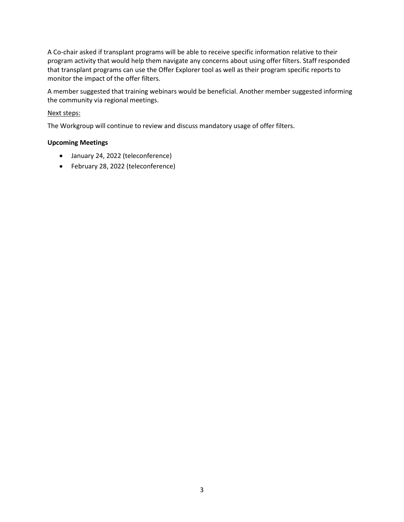A Co-chair asked if transplant programs will be able to receive specific information relative to their program activity that would help them navigate any concerns about using offer filters. Staff responded that transplant programs can use the Offer Explorer tool as well as their program specific reports to monitor the impact of the offer filters.

A member suggested that training webinars would be beneficial. Another member suggested informing the community via regional meetings.

## Next steps:

The Workgroup will continue to review and discuss mandatory usage of offer filters.

## **Upcoming Meetings**

- January 24, 2022 (teleconference)
- February 28, 2022 (teleconference)